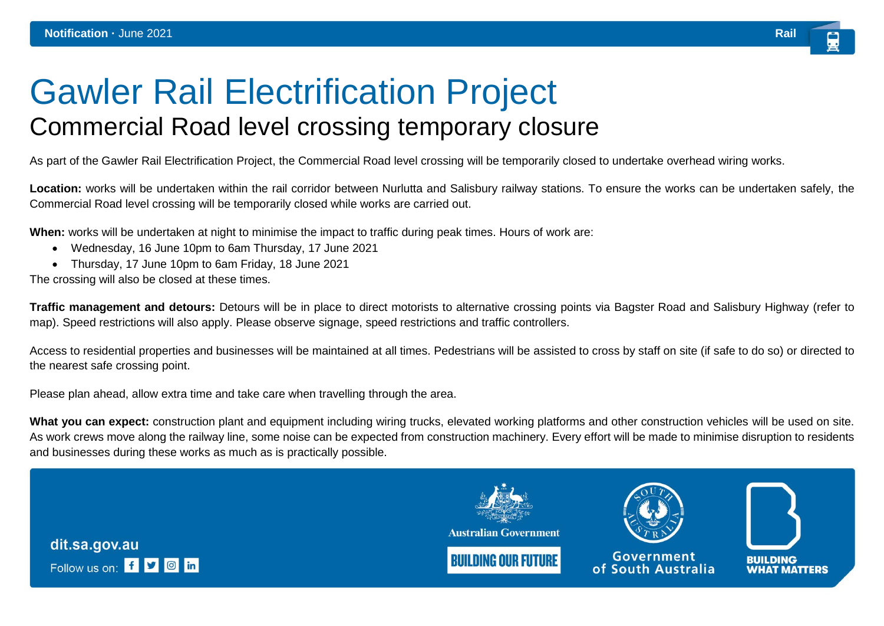## Gawler Rail Electrification Project Commercial Road level crossing temporary closure

As part of the Gawler Rail Electrification Project, the Commercial Road level crossing will be temporarily closed to undertake overhead wiring works.

**Location:** works will be undertaken within the rail corridor between Nurlutta and Salisbury railway stations. To ensure the works can be undertaken safely, the Commercial Road level crossing will be temporarily closed while works are carried out.

**When:** works will be undertaken at night to minimise the impact to traffic during peak times. Hours of work are:

- Wednesday, 16 June 10pm to 6am Thursday, 17 June 2021
- Thursday, 17 June 10pm to 6am Friday, 18 June 2021

The crossing will also be closed at these times.

**Traffic management and detours:** Detours will be in place to direct motorists to alternative crossing points via Bagster Road and Salisbury Highway (refer to map). Speed restrictions will also apply. Please observe signage, speed restrictions and traffic controllers.

Access to residential properties and businesses will be maintained at all times. Pedestrians will be assisted to cross by staff on site (if safe to do so) or directed to the nearest safe crossing point.

Please plan ahead, allow extra time and take care when travelling through the area.

What you can expect: construction plant and equipment including wiring trucks, elevated working platforms and other construction vehicles will be used on site. As work crews move along the railway line, some noise can be expected from construction machinery. Every effort will be made to minimise disruption to residents and businesses during these works as much as is practically possible.